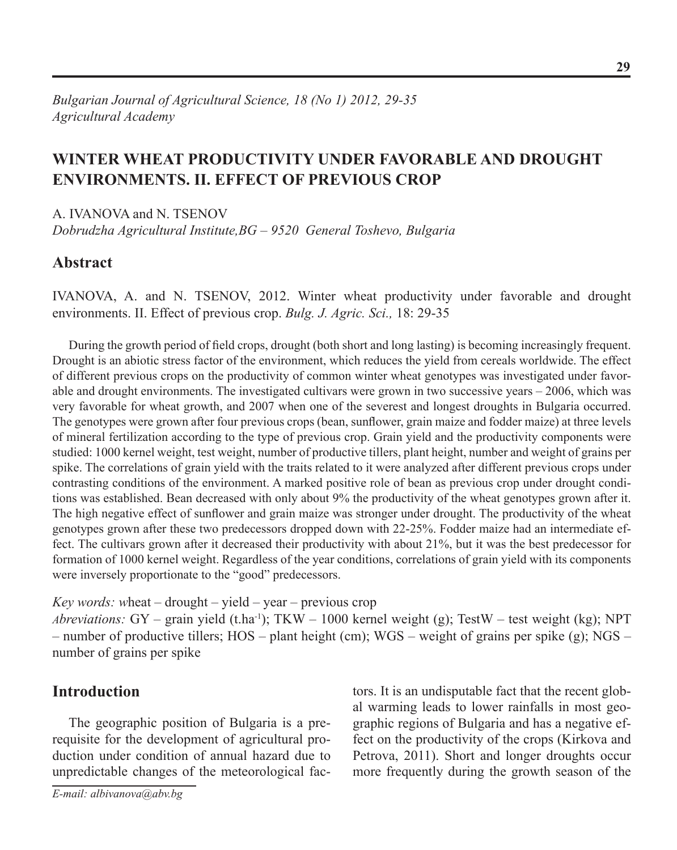# **WINTER WHEAT PRODUCTIVITY UNDER FAVORABLE AND DROUGHT ENVIRONMENTS. II. EFFECT OF PREVIOUS CROP**

A. IVANOVA and N. TSENOV

*Dobrudzha Agricultural Institute,BG – 9520 General Toshevo, Bulgaria*

## **Abstract**

IVANOVA, A. and N. TSENOV, 2012. Winter wheat productivity under favorable and drought environments. II. Effect of previous crop. *Bulg. J. Agric. Sci.,* 18: 29-35

During the growth period of field crops, drought (both short and long lasting) is becoming increasingly frequent. Drought is an abiotic stress factor of the environment, which reduces the yield from cereals worldwide. The effect of different previous crops on the productivity of common winter wheat genotypes was investigated under favorable and drought environments. The investigated cultivars were grown in two successive years – 2006, which was very favorable for wheat growth, and 2007 when one of the severest and longest droughts in Bulgaria occurred. The genotypes were grown after four previous crops (bean, sunflower, grain maize and fodder maize) at three levels of mineral fertilization according to the type of previous crop. Grain yield and the productivity components were studied: 1000 kernel weight, test weight, number of productive tillers, plant height, number and weight of grains per spike. The correlations of grain yield with the traits related to it were analyzed after different previous crops under contrasting conditions of the environment. A marked positive role of bean as previous crop under drought conditions was established. Bean decreased with only about 9% the productivity of the wheat genotypes grown after it. The high negative effect of sunflower and grain maize was stronger under drought. The productivity of the wheat genotypes grown after these two predecessors dropped down with 22-25%. Fodder maize had an intermediate effect. The cultivars grown after it decreased their productivity with about 21%, but it was the best predecessor for formation of 1000 kernel weight. Regardless of the year conditions, correlations of grain yield with its components were inversely proportionate to the "good" predecessors.

*Key words: w*heat – drought – yield – year – previous crop

*Abreviations:* GY – grain yield (t.ha<sup>-1</sup>); TKW – 1000 kernel weight (g); TestW – test weight (kg); NPT – number of productive tillers; HOS – plant height (cm); WGS – weight of grains per spike (g); NGS – number of grains per spike

## **Introduction**

The geographic position of Bulgaria is a prerequisite for the development of agricultural production under condition of annual hazard due to unpredictable changes of the meteorological fac-

tors. It is an undisputable fact that the recent global warming leads to lower rainfalls in most geographic regions of Bulgaria and has a negative effect on the productivity of the crops (Kirkova and Petrova, 2011). Short and longer droughts occur more frequently during the growth season of the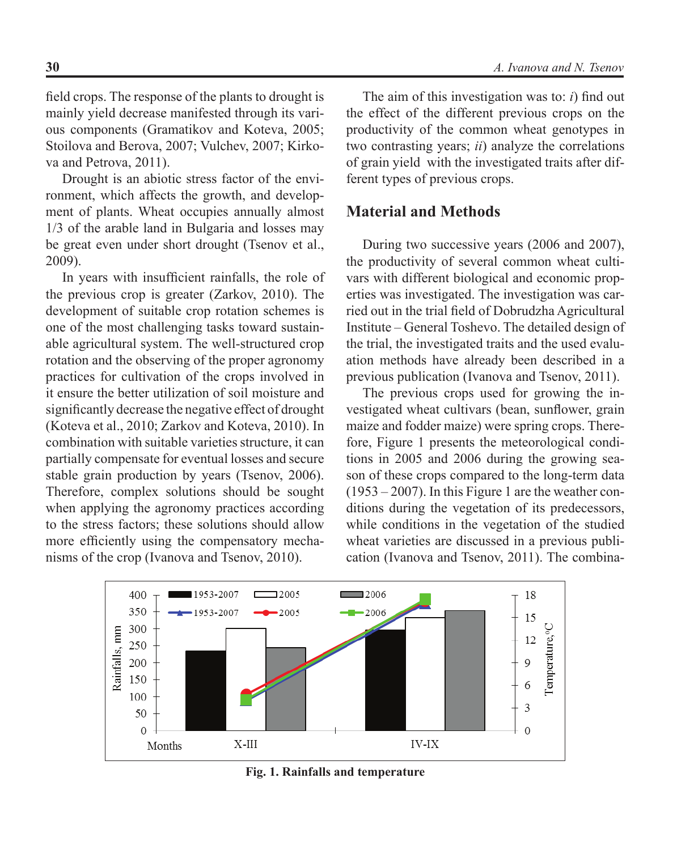field crops. The response of the plants to drought is mainly yield decrease manifested through its various components (Gramatikov and Koteva, 2005; Stoilova and Berova, 2007; Vulchev, 2007; Kirkova and Petrova, 2011).

Drought is an abiotic stress factor of the environment, which affects the growth, and development of plants. Wheat occupies annually almost 1/3 of the arable land in Bulgaria and losses may be great even under short drought (Tsenov et al., 2009).

In years with insufficient rainfalls, the role of the previous crop is greater (Zarkov, 2010). The development of suitable crop rotation schemes is one of the most challenging tasks toward sustainable agricultural system. The well-structured crop rotation and the observing of the proper agronomy practices for cultivation of the crops involved in it ensure the better utilization of soil moisture and significantly decrease the negative effect of drought (Koteva et al., 2010; Zarkov and Koteva, 2010). In combination with suitable varieties structure, it can partially compensate for eventual losses and secure stable grain production by years (Tsenov, 2006). Therefore, complex solutions should be sought when applying the agronomy practices according to the stress factors; these solutions should allow more efficiently using the compensatory mechanisms of the crop (Ivanova and Tsenov, 2010).

The aim of this investigation was to: *i*) find out the effect of the different previous crops on the productivity of the common wheat genotypes in two contrasting years; *ii*) analyze the correlations of grain yield with the investigated traits after different types of previous crops.

### **Material and Methods**

During two successive years (2006 and 2007), the productivity of several common wheat cultivars with different biological and economic properties was investigated. The investigation was carried out in the trial field of Dobrudzha Agricultural Institute – General Toshevo. The detailed design of the trial, the investigated traits and the used evaluation methods have already been described in a previous publication (Ivanova and Tsenov, 2011).

The previous crops used for growing the investigated wheat cultivars (bean, sunflower, grain maize and fodder maize) were spring crops. Therefore, Figure 1 presents the meteorological conditions in 2005 and 2006 during the growing season of these crops compared to the long-term data (1953 – 2007). In this Figure 1 are the weather conditions during the vegetation of its predecessors, while conditions in the vegetation of the studied wheat varieties are discussed in a previous publication (Ivanova and Tsenov, 2011). The combina-



**Fig. 1. Rainfalls and temperature**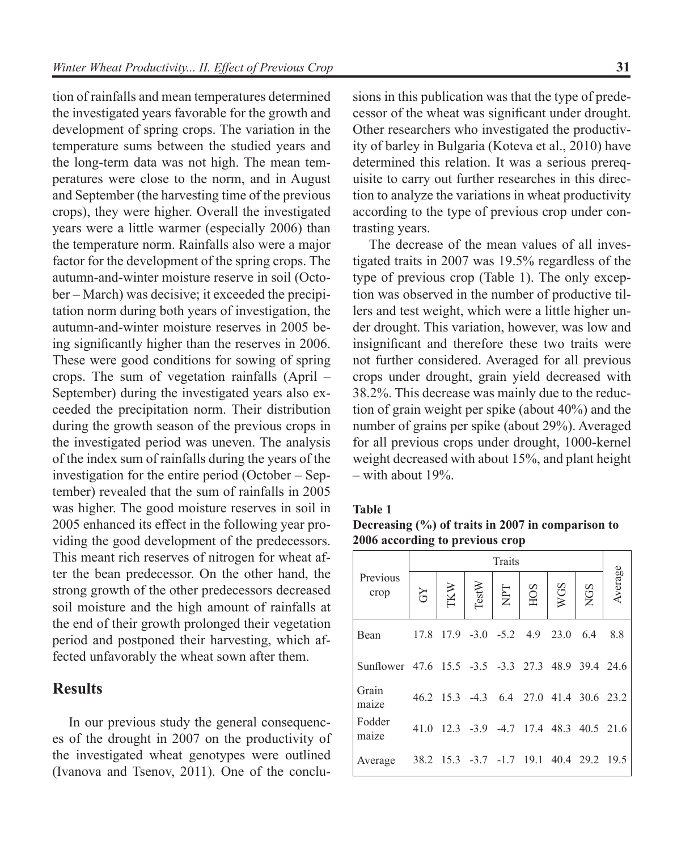tion of rainfalls and mean temperatures determined the investigated years favorable for the growth and development of spring crops. The variation in the temperature sums between the studied years and the long-term data was not high. The mean temperatures were close to the norm, and in August and September (the harvesting time of the previous crops), they were higher. Overall the investigated years were a little warmer (especially 2006) than the temperature norm. Rainfalls also were a major factor for the development of the spring crops. The autumn-and-winter moisture reserve in soil (October – March) was decisive; it exceeded the precipitation norm during both years of investigation, the autumn-and-winter moisture reserves in 2005 being significantly higher than the reserves in 2006. These were good conditions for sowing of spring crops. The sum of vegetation rainfalls (April – September) during the investigated years also exceeded the precipitation norm. Their distribution during the growth season of the previous crops in the investigated period was uneven. The analysis of the index sum of rainfalls during the years of the investigation for the entire period (October – September) revealed that the sum of rainfalls in 2005 was higher. The good moisture reserves in soil in 2005 enhanced its effect in the following year providing the good development of the predecessors. This meant rich reserves of nitrogen for wheat after the bean predecessor. On the other hand, the strong growth of the other predecessors decreased soil moisture and the high amount of rainfalls at the end of their growth prolonged their vegetation period and postponed their harvesting, which affected unfavorably the wheat sown after them.

### **Results**

In our previous study the general consequences of the drought in 2007 on the productivity of the investigated wheat genotypes were outlined (Ivanova and Tsenov, 2011). One of the conclusions in this publication was that the type of predecessor of the wheat was significant under drought. Other researchers who investigated the productivity of barley in Bulgaria (Koteva et al., 2010) have determined this relation. It was a serious prerequisite to carry out further researches in this direction to analyze the variations in wheat productivity according to the type of previous crop under contrasting years.

The decrease of the mean values of all investigated traits in 2007 was 19.5% regardless of the type of previous crop (Table 1). The only exception was observed in the number of productive tillers and test weight, which were a little higher under drought. This variation, however, was low and insignificant and therefore these two traits were not further considered. Averaged for all previous crops under drought, grain yield decreased with 38.2%. This decrease was mainly due to the reduction of grain weight per spike (about 40%) and the number of grains per spike (about 29%). Averaged for all previous crops under drought, 1000-kernel weight decreased with about 15%, and plant height  $-$  with about 19%.

### **Table 1**

|                                 |  | Decreasing (%) of traits in 2007 in comparison to |
|---------------------------------|--|---------------------------------------------------|
| 2006 according to previous crop |  |                                                   |

|                                                   | Traits |            |                        |     |     |                                         |     |         |  |  |
|---------------------------------------------------|--------|------------|------------------------|-----|-----|-----------------------------------------|-----|---------|--|--|
| Previous<br>crop                                  | Ğ      | <b>IKW</b> | $\operatorname{TestW}$ | NPT | HOS | WGS                                     | NGS | Average |  |  |
| Bean                                              |        |            |                        |     |     | 17.8 17.9 -3.0 -5.2 4.9 23.0 6.4        |     | 8.8     |  |  |
| Sunflower 47.6 15.5 -3.5 -3.3 27.3 48.9 39.4 24.6 |        |            |                        |     |     |                                         |     |         |  |  |
| Grain<br>maize                                    |        |            |                        |     |     | 46.2 15.3 -4.3 6.4 27.0 41.4 30.6 23.2  |     |         |  |  |
| Fodder<br>maize                                   |        |            |                        |     |     | 41.0 12.3 -3.9 -4.7 17.4 48.3 40.5 21.6 |     |         |  |  |
| Average                                           |        |            |                        |     |     | 38.2 15.3 -3.7 -1.7 19.1 40.4 29.2 19.5 |     |         |  |  |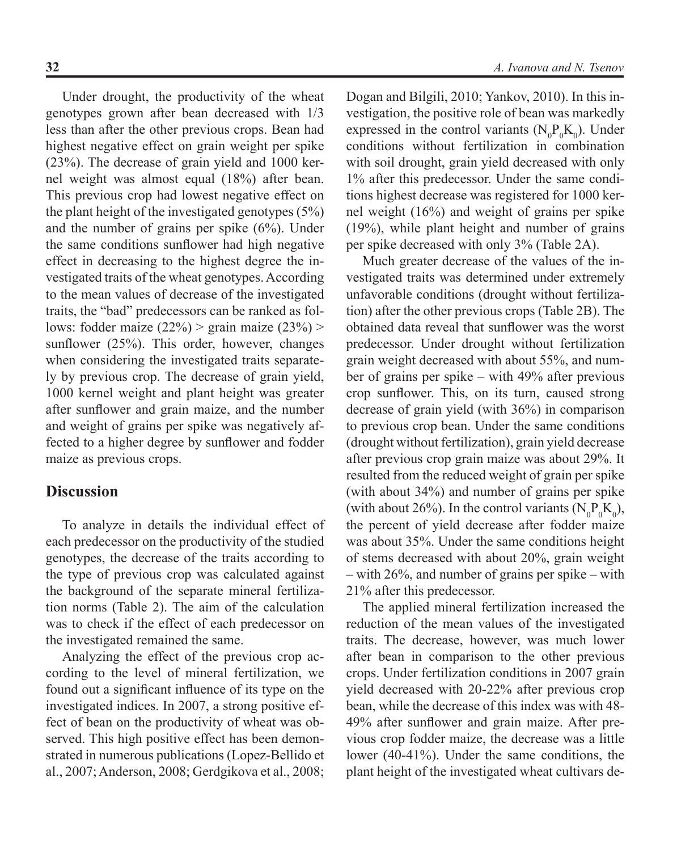Under drought, the productivity of the wheat genotypes grown after bean decreased with 1/3 less than after the other previous crops. Bean had highest negative effect on grain weight per spike (23%). The decrease of grain yield and 1000 kernel weight was almost equal (18%) after bean. This previous crop had lowest negative effect on the plant height of the investigated genotypes (5%) and the number of grains per spike (6%). Under the same conditions sunflower had high negative effect in decreasing to the highest degree the investigated traits of the wheat genotypes. According to the mean values of decrease of the investigated traits, the "bad" predecessors can be ranked as follows: fodder maize  $(22%)$  > grain maize  $(23%)$  > sunflower (25%). This order, however, changes when considering the investigated traits separately by previous crop. The decrease of grain yield, 1000 kernel weight and plant height was greater after sunflower and grain maize, and the number and weight of grains per spike was negatively affected to a higher degree by sunflower and fodder maize as previous crops.

### **Discussion**

To analyze in details the individual effect of each predecessor on the productivity of the studied genotypes, the decrease of the traits according to the type of previous crop was calculated against the background of the separate mineral fertilization norms (Table 2). The aim of the calculation was to check if the effect of each predecessor on the investigated remained the same.

Analyzing the effect of the previous crop according to the level of mineral fertilization, we found out a significant influence of its type on the investigated indices. In 2007, a strong positive effect of bean on the productivity of wheat was observed. This high positive effect has been demonstrated in numerous publications (Lоpez-Bellido et al., 2007; Anderson, 2008; Gerdgikova et al., 2008; Dogan and Bilgili, 2010; Yankov, 2010). In this investigation, the positive role of bean was markedly expressed in the control variants  $(N_0 P_0 K_0)$ . Under conditions without fertilization in combination with soil drought, grain yield decreased with only 1% after this predecessor. Under the same conditions highest decrease was registered for 1000 kernel weight (16%) and weight of grains per spike (19%), while plant height and number of grains per spike decreased with only 3% (Table 2A).

Much greater decrease of the values of the investigated traits was determined under extremely unfavorable conditions (drought without fertilization) after the other previous crops (Table 2B). The obtained data reveal that sunflower was the worst predecessor. Under drought without fertilization grain weight decreased with about 55%, and number of grains per spike – with 49% after previous crop sunflower. This, on its turn, caused strong decrease of grain yield (with 36%) in comparison to previous crop bean. Under the same conditions (drought without fertilization), grain yield decrease after previous crop grain maize was about 29%. It resulted from the reduced weight of grain per spike (with about 34%) and number of grains per spike (with about 26%). In the control variants ( $N_0 P_0 K_0$ ), the percent of yield decrease after fodder maize was about 35%. Under the same conditions height of stems decreased with about 20%, grain weight – with 26%, and number of grains per spike – with 21% after this predecessor.

The applied mineral fertilization increased the reduction of the mean values of the investigated traits. The decrease, however, was much lower after bean in comparison to the other previous crops. Under fertilization conditions in 2007 grain yield decreased with 20-22% after previous crop bean, while the decrease of this index was with 48- 49% after sunflower and grain maize. After previous crop fodder maize, the decrease was a little lower (40-41%). Under the same conditions, the plant height of the investigated wheat cultivars de-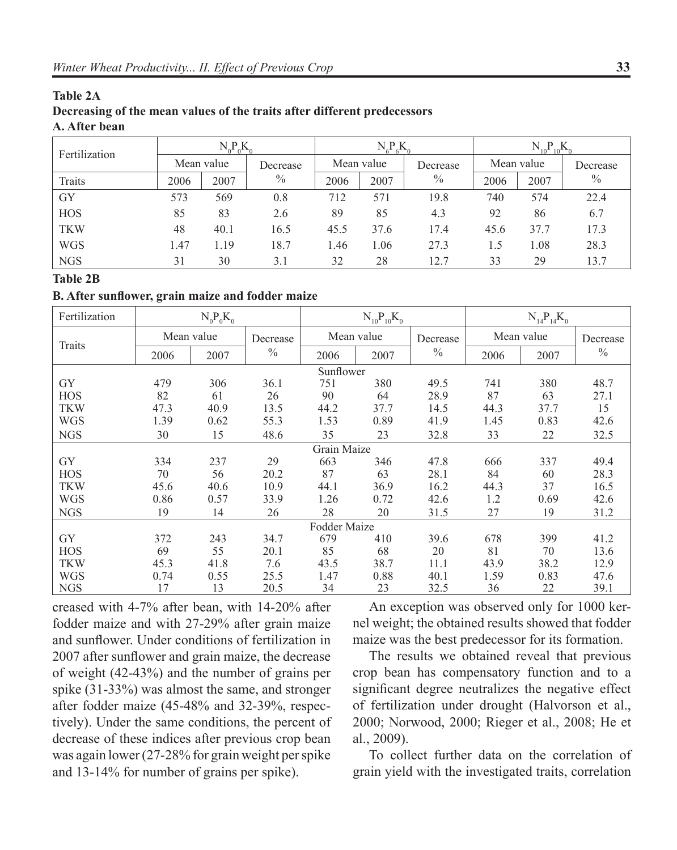### **Table 2A Decreasing of the mean values of the traits after different predecessors A. After bean**

| Fertilization | $N_0P_0K_0$ |      |               | $N_{6}P_{6}K_{0}$ |                        |      | $N_{10}P_{10}K_{0}$ |      |               |
|---------------|-------------|------|---------------|-------------------|------------------------|------|---------------------|------|---------------|
|               | Mean value  |      | Decrease      |                   | Mean value<br>Decrease |      | Mean value          |      | Decrease      |
| Traits        | 2006        | 2007 | $\frac{0}{0}$ | 2006              | 2007                   | $\%$ | 2006                | 2007 | $\frac{0}{0}$ |
| <b>GY</b>     | 573         | 569  | 0.8           | 712               | 571                    | 19.8 | 740                 | 574  | 22.4          |
| <b>HOS</b>    | 85          | 83   | 2.6           | 89                | 85                     | 4.3  | 92                  | 86   | 6.7           |
| <b>TKW</b>    | 48          | 40.1 | 16.5          | 45.5              | 37.6                   | 17.4 | 45.6                | 37.7 | 17.3          |
| <b>WGS</b>    | 1.47        | 1.19 | 18.7          | 1.46              | 1.06                   | 27.3 | 1.5                 | 1.08 | 28.3          |
| <b>NGS</b>    | 31          | 30   | 3.1           | 32                | 28                     | 12.7 | 33                  | 29   | 13.7          |

#### **Table 2B**

#### **B. After sunflower, grain maize and fodder maize**

| Fertilization | $N_0P_0K_0$ |      |               | $\rm N_{10}P_{10}K_0$ |            |               | $N_{14}P_{14}K_0$ |          |               |
|---------------|-------------|------|---------------|-----------------------|------------|---------------|-------------------|----------|---------------|
|               | Mean value  |      | Decrease      |                       | Mean value | Decrease      | Mean value        | Decrease |               |
| Traits        | 2006        | 2007 | $\frac{0}{0}$ | 2006                  | 2007       | $\frac{0}{0}$ | 2006              | 2007     | $\frac{0}{0}$ |
| Sunflower     |             |      |               |                       |            |               |                   |          |               |
| GY            | 479         | 306  | 36.1          | 751                   | 380        | 49.5          | 741               | 380      | 48.7          |
| <b>HOS</b>    | 82          | 61   | 26            | 90                    | 64         | 28.9          | 87                | 63       | 27.1          |
| <b>TKW</b>    | 47.3        | 40.9 | 13.5          | 44.2                  | 37.7       | 14.5          | 44.3              | 37.7     | 15            |
| <b>WGS</b>    | 1.39        | 0.62 | 55.3          | 1.53                  | 0.89       | 41.9          | 1.45              | 0.83     | 42.6          |
| <b>NGS</b>    | 30          | 15   | 48.6          | 35                    | 23         | 32.8          | 33                | 22       | 32.5          |
| Grain Maize   |             |      |               |                       |            |               |                   |          |               |
| <b>GY</b>     | 334         | 237  | 29            | 663                   | 346        | 47.8          | 666               | 337      | 49.4          |
| <b>HOS</b>    | 70          | 56   | 20.2          | 87                    | 63         | 28.1          | 84                | 60       | 28.3          |
| <b>TKW</b>    | 45.6        | 40.6 | 10.9          | 44.1                  | 36.9       | 16.2          | 44.3              | 37       | 16.5          |
| <b>WGS</b>    | 0.86        | 0.57 | 33.9          | 1.26                  | 0.72       | 42.6          | 1.2               | 0.69     | 42.6          |
| <b>NGS</b>    | 19          | 14   | 26            | 28                    | 20         | 31.5          | 27                | 19       | 31.2          |
|               |             |      |               | Fodder Maize          |            |               |                   |          |               |
| <b>GY</b>     | 372         | 243  | 34.7          | 679                   | 410        | 39.6          | 678               | 399      | 41.2          |
| <b>HOS</b>    | 69          | 55   | 20.1          | 85                    | 68         | 20            | 81                | 70       | 13.6          |
| <b>TKW</b>    | 45.3        | 41.8 | 7.6           | 43.5                  | 38.7       | 11.1          | 43.9              | 38.2     | 12.9          |
| <b>WGS</b>    | 0.74        | 0.55 | 25.5          | 1.47                  | 0.88       | 40.1          | 1.59              | 0.83     | 47.6          |
| <b>NGS</b>    | 17          | 13   | 20.5          | 34                    | 23         | 32.5          | 36                | 22       | 39.1          |

creased with 4-7% after bean, with 14-20% after fodder maize and with 27-29% after grain maize and sunflower. Under conditions of fertilization in 2007 after sunflower and grain maize, the decrease of weight (42-43%) and the number of grains per spike (31-33%) was almost the same, and stronger after fodder maize (45-48% and 32-39%, respectively). Under the same conditions, the percent of decrease of these indices after previous crop bean was again lower (27-28% for grain weight per spike and 13-14% for number of grains per spike).

An exception was observed only for 1000 kernel weight; the obtained results showed that fodder maize was the best predecessor for its formation.

The results we obtained reveal that previous crop bean has compensatory function and to a significant degree neutralizes the negative effect of fertilization under drought (Halvorson et al., 2000; Norwood, 2000; Rieger et al., 2008; He et al., 2009).

To collect further data on the correlation of grain yield with the investigated traits, correlation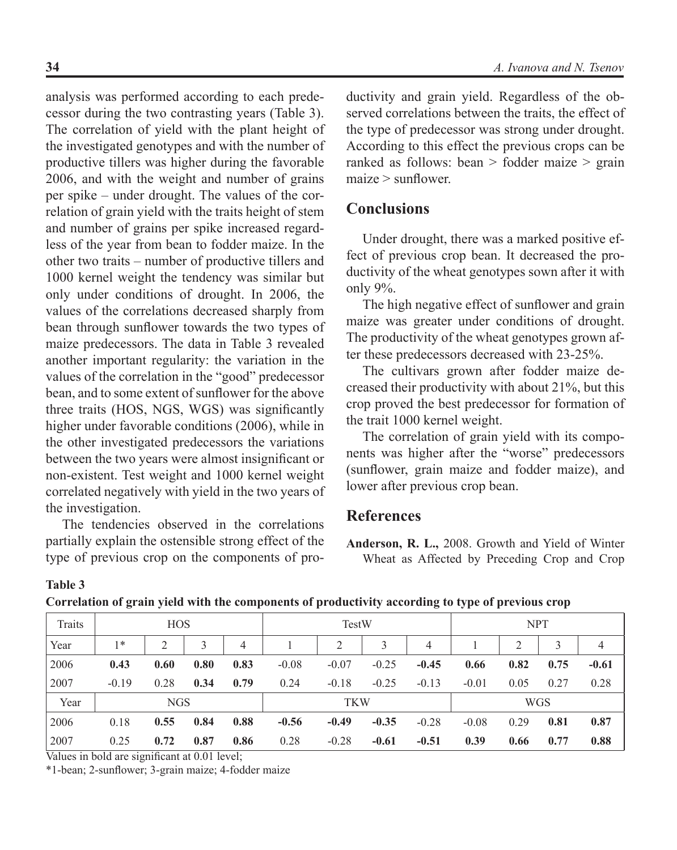analysis was performed according to each predecessor during the two contrasting years (Table 3). The correlation of yield with the plant height of the investigated genotypes and with the number of productive tillers was higher during the favorable 2006, and with the weight and number of grains per spike – under drought. The values of the correlation of grain yield with the traits height of stem and number of grains per spike increased regardless of the year from bean to fodder maize. In the other two traits – number of productive tillers and 1000 kernel weight the tendency was similar but only under conditions of drought. In 2006, the values of the correlations decreased sharply from bean through sunflower towards the two types of maize predecessors. The data in Table 3 revealed another important regularity: the variation in the values of the correlation in the "good" predecessor bean, and to some extent of sunflower for the above three traits (HOS, NGS, WGS) was significantly higher under favorable conditions (2006), while in the other investigated predecessors the variations between the two years were almost insignificant or non-existent. Test weight and 1000 kernel weight correlated negatively with yield in the two years of the investigation.

The tendencies observed in the correlations partially explain the ostensible strong effect of the type of previous crop on the components of productivity and grain yield. Regardless of the observed correlations between the traits, the effect of the type of predecessor was strong under drought. According to this effect the previous crops can be ranked as follows: bean  $>$  fodder maize  $>$  grain maize > sunflower.

### **Conclusions**

Under drought, there was a marked positive effect of previous crop bean. It decreased the productivity of the wheat genotypes sown after it with only 9%.

The high negative effect of sunflower and grain maize was greater under conditions of drought. The productivity of the wheat genotypes grown after these predecessors decreased with 23-25%.

The cultivars grown after fodder maize decreased their productivity with about 21%, but this crop proved the best predecessor for formation of the trait 1000 kernel weight.

The correlation of grain yield with its components was higher after the "worse" predecessors (sunflower, grain maize and fodder maize), and lower after previous crop bean.

### **References**

**Anderson, R. L.,** 2008. Growth and Yield of Winter Wheat as Affected by Preceding Crop and Crop

#### **Table 3**

|  |  |  | Correlation of grain yield with the components of productivity according to type of previous crop |
|--|--|--|---------------------------------------------------------------------------------------------------|
|--|--|--|---------------------------------------------------------------------------------------------------|

| Traits |         | <b>HOS</b> |      |      |            | TestW   |         |         | <b>NPT</b> |      |      |         |
|--------|---------|------------|------|------|------------|---------|---------|---------|------------|------|------|---------|
| Year   | 1*      | っ          | 3    | 4    |            |         |         | 4       |            | ↑    | 3    | 4       |
| 2006   | 0.43    | 0.60       | 0.80 | 0.83 | $-0.08$    | $-0.07$ | $-0.25$ | $-0.45$ | 0.66       | 0.82 | 0.75 | $-0.61$ |
| 2007   | $-0.19$ | 0.28       | 0.34 | 0.79 | 0.24       | $-0.18$ | $-0.25$ | $-0.13$ | $-0.01$    | 0.05 | 0.27 | 0.28    |
| Year   |         | <b>NGS</b> |      |      | <b>TKW</b> |         |         | WGS     |            |      |      |         |
| 2006   | 0.18    | 0.55       | 0.84 | 0.88 | $-0.56$    | $-0.49$ | $-0.35$ | $-0.28$ | $-0.08$    | 0.29 | 0.81 | 0.87    |
| 2007   | 0.25    | 0.72       | 0.87 | 0.86 | 0.28       | $-0.28$ | $-0.61$ | $-0.51$ | 0.39       | 0.66 | 0.77 | 0.88    |

Values in bold are significant at 0.01 level;

\*1-bean; 2-sunflower; 3-grain maize; 4-fodder maize